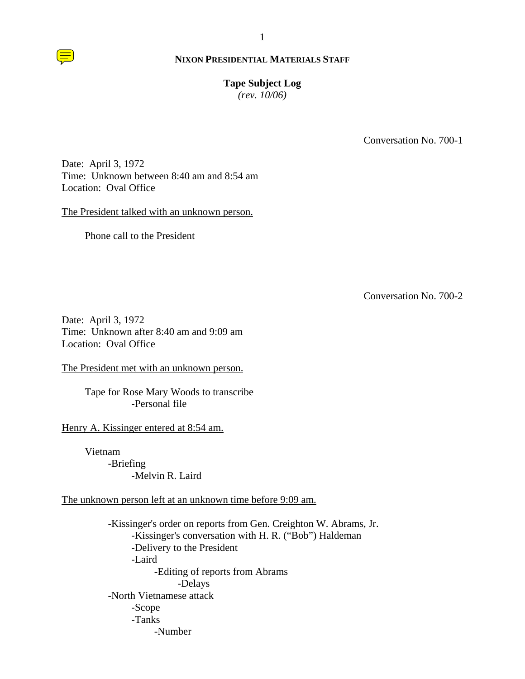# **Tape Subject Log**

*(rev. 10/06)*

Conversation No. 700-1

Date: April 3, 1972 Time: Unknown between 8:40 am and 8:54 am Location: Oval Office

The President talked with an unknown person.

Phone call to the President

Conversation No. 700-2

Date: April 3, 1972 Time: Unknown after 8:40 am and 9:09 am Location: Oval Office

The President met with an unknown person.

Tape for Rose Mary Woods to transcribe -Personal file

Henry A. Kissinger entered at 8:54 am.

Vietnam -Briefing -Melvin R. Laird

The unknown person left at an unknown time before 9:09 am.

-Kissinger's order on reports from Gen. Creighton W. Abrams, Jr. -Kissinger's conversation with H. R. ("Bob") Haldeman -Delivery to the President -Laird -Editing of reports from Abrams -Delays -North Vietnamese attack -Scope -Tanks -Number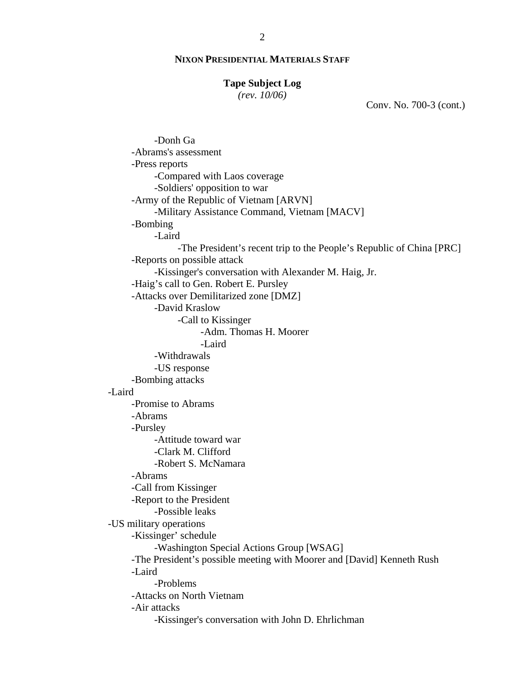#### **Tape Subject Log**

*(rev. 10/06)*

Conv. No. 700-3 (cont.)

 -Donh Ga -Abrams's assessment -Press reports -Compared with Laos coverage -Soldiers' opposition to war -Army of the Republic of Vietnam [ARVN] -Military Assistance Command, Vietnam [MACV] -Bombing -Laird -The President's recent trip to the People's Republic of China [PRC] -Reports on possible attack -Kissinger's conversation with Alexander M. Haig, Jr. -Haig's call to Gen. Robert E. Pursley -Attacks over Demilitarized zone [DMZ] -David Kraslow -Call to Kissinger -Adm. Thomas H. Moorer -Laird -Withdrawals -US response -Bombing attacks -Laird -Promise to Abrams -Abrams -Pursley -Attitude toward war -Clark M. Clifford -Robert S. McNamara -Abrams -Call from Kissinger -Report to the President -Possible leaks -US military operations -Kissinger' schedule -Washington Special Actions Group [WSAG] -The President's possible meeting with Moorer and [David] Kenneth Rush -Laird -Problems -Attacks on North Vietnam -Air attacks -Kissinger's conversation with John D. Ehrlichman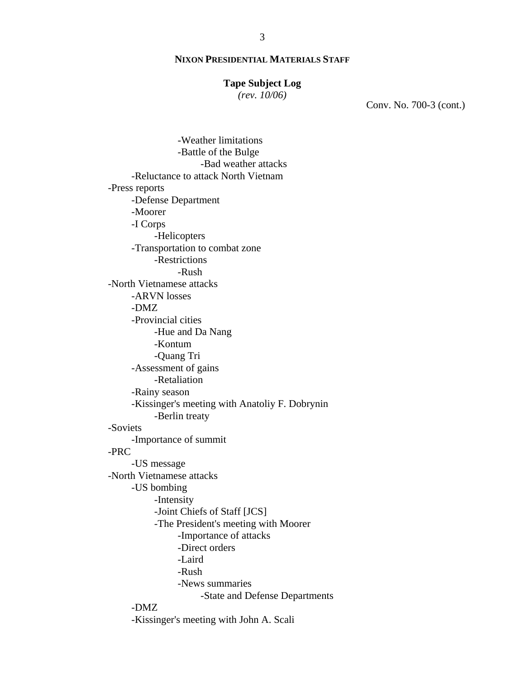#### **Tape Subject Log**

*(rev. 10/06)*

Conv. No. 700-3 (cont.)

 -Weather limitations -Battle of the Bulge -Bad weather attacks -Reluctance to attack North Vietnam -Press reports -Defense Department -Moorer -I Corps -Helicopters -Transportation to combat zone -Restrictions -Rush -North Vietnamese attacks -ARVN losses -DMZ -Provincial cities -Hue and Da Nang -Kontum -Quang Tri -Assessment of gains -Retaliation -Rainy season -Kissinger's meeting with Anatoliy F. Dobrynin -Berlin treaty -Soviets -Importance of summit -PRC -US message -North Vietnamese attacks -US bombing -Intensity -Joint Chiefs of Staff [JCS] -The President's meeting with Moorer -Importance of attacks -Direct orders -Laird -Rush -News summaries -State and Defense Departments -DMZ -Kissinger's meeting with John A. Scali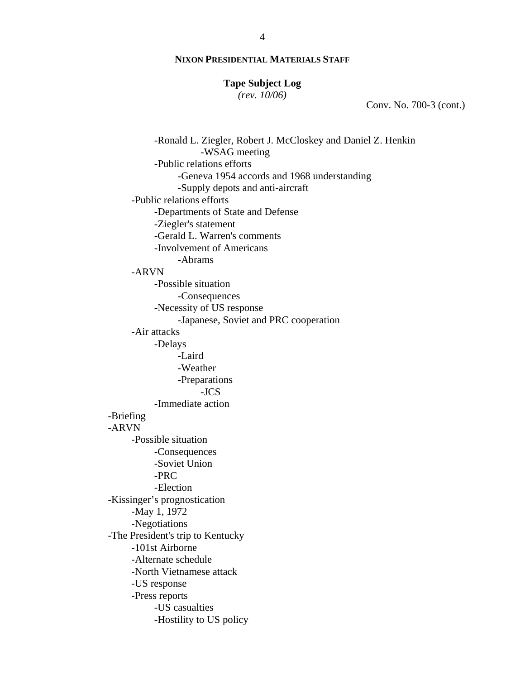#### **Tape Subject Log**

*(rev. 10/06)*

Conv. No. 700-3 (cont.)

 -Ronald L. Ziegler, Robert J. McCloskey and Daniel Z. Henkin -WSAG meeting -Public relations efforts -Geneva 1954 accords and 1968 understanding -Supply depots and anti-aircraft -Public relations efforts -Departments of State and Defense -Ziegler's statement -Gerald L. Warren's comments -Involvement of Americans -Abrams -ARVN -Possible situation -Consequences -Necessity of US response -Japanese, Soviet and PRC cooperation -Air attacks -Delays -Laird -Weather -Preparations -JCS -Immediate action -Briefing -ARVN -Possible situation -Consequences -Soviet Union -PRC -Election -Kissinger's prognostication -May 1, 1972 -Negotiations -The President's trip to Kentucky -101st Airborne -Alternate schedule -North Vietnamese attack -US response -Press reports -US casualties -Hostility to US policy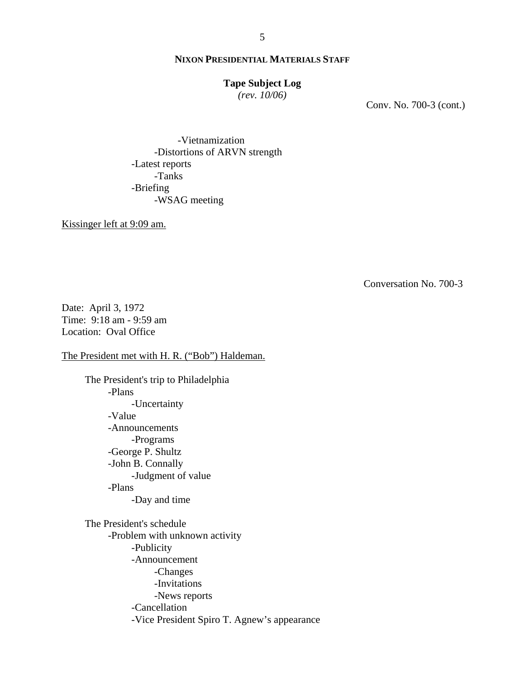#### **Tape Subject Log**

*(rev. 10/06)*

Conv. No. 700-3 (cont.)

 -Vietnamization -Distortions of ARVN strength -Latest reports -Tanks -Briefing -WSAG meeting

Kissinger left at 9:09 am.

Conversation No. 700-3

Date: April 3, 1972 Time: 9:18 am - 9:59 am Location: Oval Office

The President met with H. R. ("Bob") Haldeman.

The President's trip to Philadelphia

 -Plans -Uncertainty -Value -Announcements -Programs -George P. Shultz -John B. Connally -Judgment of value -Plans -Day and time The President's schedule -Problem with unknown activity -Publicity -Announcement -Changes -Invitations -News reports -Cancellation -Vice President Spiro T. Agnew's appearance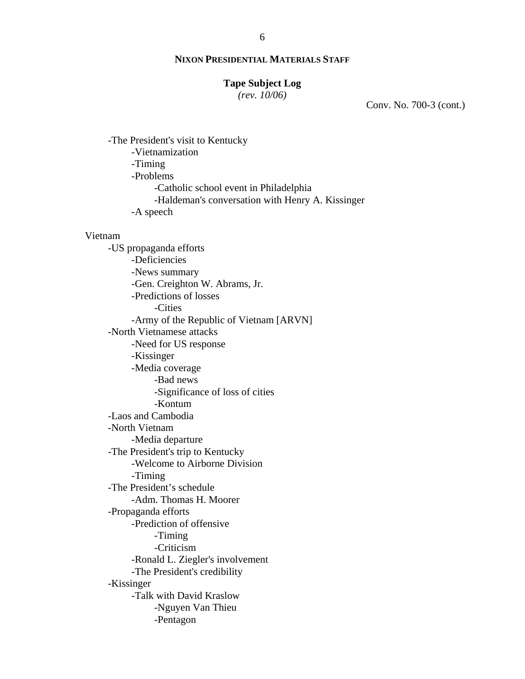#### **Tape Subject Log**

*(rev. 10/06)*

Conv. No. 700-3 (cont.)

-The President's visit to Kentucky -Vietnamization -Timing -Problems -Catholic school event in Philadelphia -Haldeman's conversation with Henry A. Kissinger -A speech

#### Vietnam

-US propaganda efforts -Deficiencies -News summary -Gen. Creighton W. Abrams, Jr. -Predictions of losses -Cities -Army of the Republic of Vietnam [ARVN] -North Vietnamese attacks -Need for US response -Kissinger -Media coverage -Bad news -Significance of loss of cities -Kontum -Laos and Cambodia -North Vietnam -Media departure -The President's trip to Kentucky -Welcome to Airborne Division -Timing -The President's schedule -Adm. Thomas H. Moorer -Propaganda efforts -Prediction of offensive -Timing -Criticism -Ronald L. Ziegler's involvement -The President's credibility -Kissinger -Talk with David Kraslow -Nguyen Van Thieu -Pentagon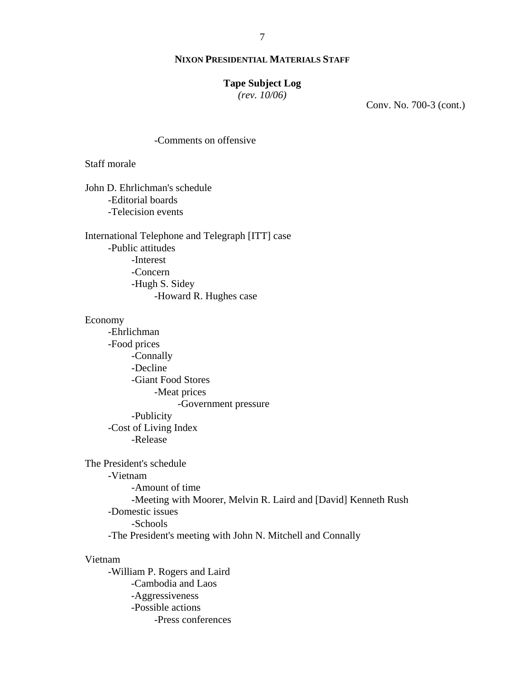### **Tape Subject Log**

*(rev. 10/06)*

Conv. No. 700-3 (cont.)

#### -Comments on offensive

Staff morale

John D. Ehrlichman's schedule -Editorial boards -Telecision events

International Telephone and Telegraph [ITT] case -Public attitudes -Interest -Concern -Hugh S. Sidey -Howard R. Hughes case

#### Economy

-Ehrlichman -Food prices -Connally -Decline -Giant Food Stores -Meat prices -Government pressure -Publicity -Cost of Living Index -Release

The President's schedule -Vietnam -Amount of time -Meeting with Moorer, Melvin R. Laird and [David] Kenneth Rush -Domestic issues -Schools -The President's meeting with John N. Mitchell and Connally

#### Vietnam

-William P. Rogers and Laird -Cambodia and Laos -Aggressiveness -Possible actions -Press conferences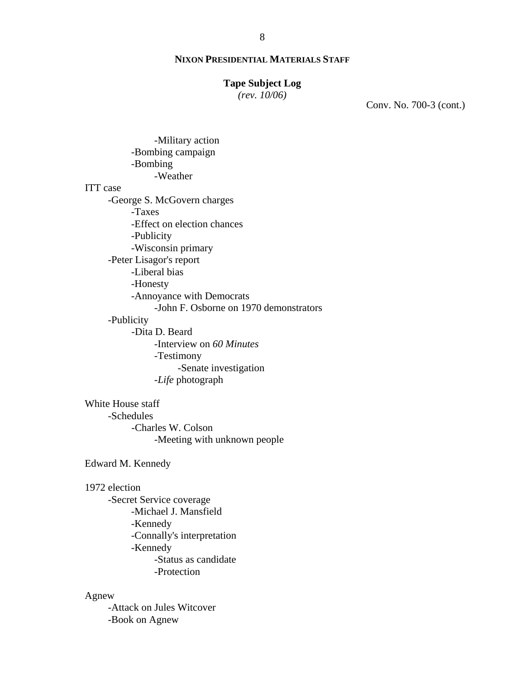#### **Tape Subject Log**

*(rev. 10/06)*

Conv. No. 700-3 (cont.)

 -Military action -Bombing campaign -Bombing -Weather ITT case -George S. McGovern charges -Taxes -Effect on election chances -Publicity -Wisconsin primary -Peter Lisagor's report -Liberal bias -Honesty -Annoyance with Democrats -John F. Osborne on 1970 demonstrators -Publicity -Dita D. Beard -Interview on *60 Minutes* -Testimony -Senate investigation -*Life* photograph White House staff

 -Schedules -Charles W. Colson -Meeting with unknown people

Edward M. Kennedy

#### 1972 election

-Secret Service coverage -Michael J. Mansfield -Kennedy -Connally's interpretation -Kennedy -Status as candidate -Protection

### Agnew

-Attack on Jules Witcover -Book on Agnew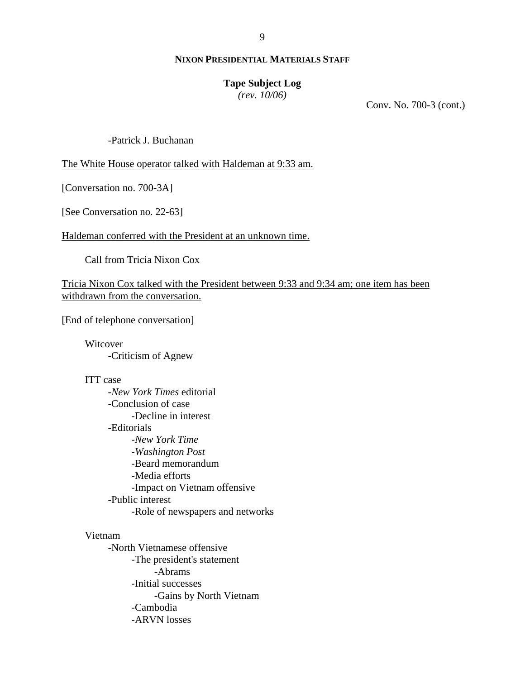### **Tape Subject Log**

*(rev. 10/06)*

Conv. No. 700-3 (cont.)

-Patrick J. Buchanan

The White House operator talked with Haldeman at 9:33 am.

[Conversation no. 700-3A]

[See Conversation no. 22-63]

Haldeman conferred with the President at an unknown time.

Call from Tricia Nixon Cox

Tricia Nixon Cox talked with the President between 9:33 and 9:34 am; one item has been withdrawn from the conversation.

[End of telephone conversation]

Witcover -Criticism of Agnew

# ITT case

-*New York Times* editorial -Conclusion of case -Decline in interest -Editorials -*New York Time* -*Washington Post* -Beard memorandum -Media efforts -Impact on Vietnam offensive -Public interest -Role of newspapers and networks

#### Vietnam

-North Vietnamese offensive -The president's statement -Abrams -Initial successes -Gains by North Vietnam -Cambodia -ARVN losses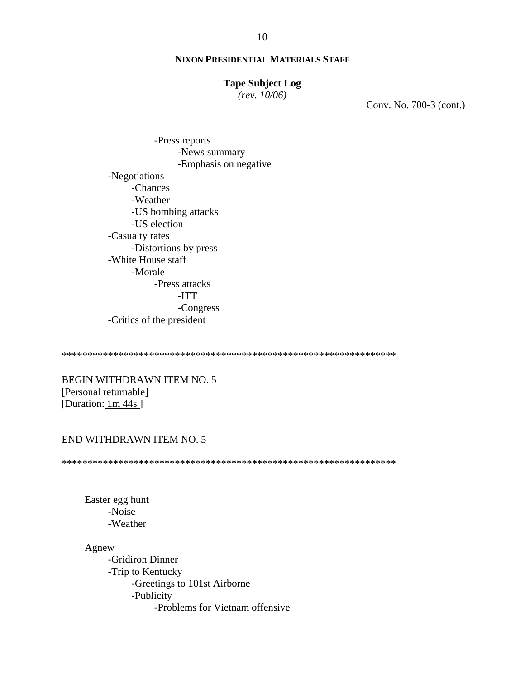#### **Tape Subject Log**

 $(rev. 10/06)$ 

Conv. No. 700-3 (cont.)

-Press reports -News summary -Emphasis on negative -Negotiations -Chances -Weather -US bombing attacks -US election -Casualty rates -Distortions by press -White House staff -Morale -Press attacks  $-ITT$ -Congress -Critics of the president

**BEGIN WITHDRAWN ITEM NO. 5** [Personal returnable] [Duration: 1m 44s]

### END WITHDRAWN ITEM NO. 5

Easter egg hunt -Noise -Weather

Agnew

-Gridiron Dinner -Trip to Kentucky -Greetings to 101st Airborne -Publicity -Problems for Vietnam offensive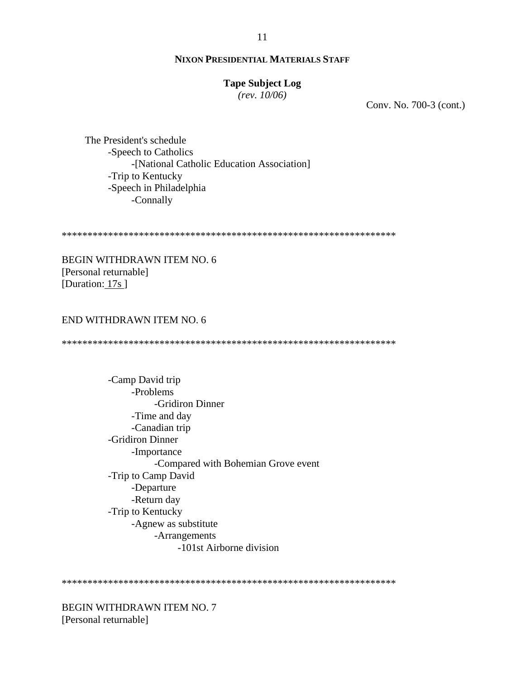### **Tape Subject Log**

 $(rev. 10/06)$ 

Conv. No. 700-3 (cont.)

The President's schedule -Speech to Catholics -[National Catholic Education Association] -Trip to Kentucky -Speech in Philadelphia -Connally

**BEGIN WITHDRAWN ITEM NO. 6** [Personal returnable] [Duration:  $17s$ ]

#### END WITHDRAWN ITEM NO. 6

-Camp David trip -Problems -Gridiron Dinner -Time and day -Canadian trip -Gridiron Dinner -Importance -Compared with Bohemian Grove event -Trip to Camp David -Departure -Return day -Trip to Kentucky -Agnew as substitute -Arrangements -101st Airborne division

BEGIN WITHDRAWN ITEM NO. 7 [Personal returnable]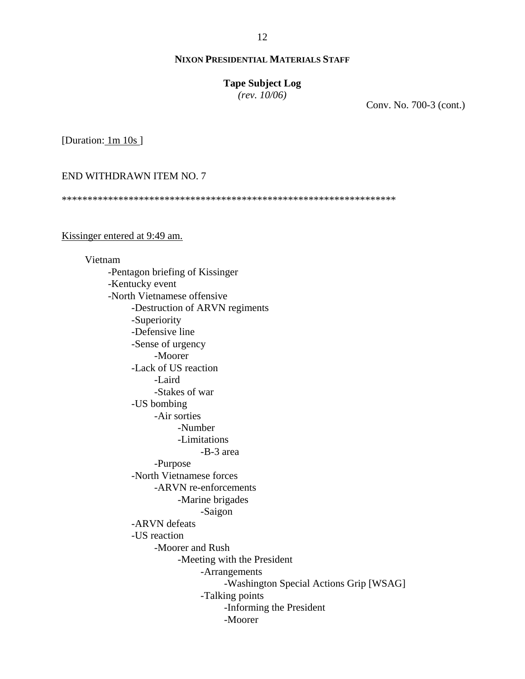#### **Tape Subject Log**

*(rev. 10/06)*

Conv. No. 700-3 (cont.)

[Duration: 1m 10s ]

END WITHDRAWN ITEM NO. 7

\*\*\*\*\*\*\*\*\*\*\*\*\*\*\*\*\*\*\*\*\*\*\*\*\*\*\*\*\*\*\*\*\*\*\*\*\*\*\*\*\*\*\*\*\*\*\*\*\*\*\*\*\*\*\*\*\*\*\*\*\*\*\*\*\*

Kissinger entered at 9:49 am.

Vietnam -Pentagon briefing of Kissinger -Kentucky event -North Vietnamese offensive -Destruction of ARVN regiments -Superiority -Defensive line -Sense of urgency -Moorer -Lack of US reaction -Laird -Stakes of war -US bombing -Air sorties -Number -Limitations -B-3 area -Purpose -North Vietnamese forces -ARVN re-enforcements -Marine brigades -Saigon -ARVN defeats -US reaction -Moorer and Rush -Meeting with the President -Arrangements -Washington Special Actions Grip [WSAG] -Talking points -Informing the President -Moorer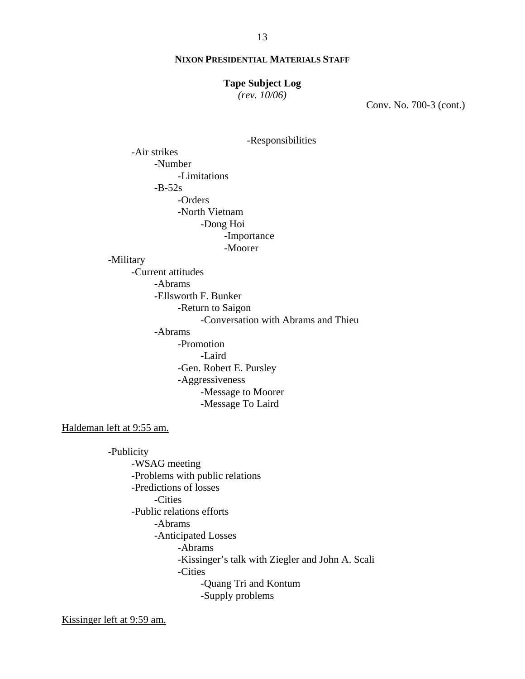#### **Tape Subject Log**

*(rev. 10/06)*

Conv. No. 700-3 (cont.)

```
 -Responsibilities
```
 -Air strikes -Number -Limitations  $-B-52s$  -Orders -North Vietnam -Dong Hoi -Importance -Moorer

-Military

 -Current attitudes -Abrams -Ellsworth F. Bunker -Return to Saigon -Conversation with Abrams and Thieu -Abrams -Promotion -Laird -Gen. Robert E. Pursley -Aggressiveness -Message to Moorer -Message To Laird

Haldeman left at 9:55 am.

-Publicity -WSAG meeting -Problems with public relations -Predictions of losses -Cities -Public relations efforts -Abrams -Anticipated Losses -Abrams -Kissinger's talk with Ziegler and John A. Scali -Cities -Quang Tri and Kontum -Supply problems

Kissinger left at 9:59 am.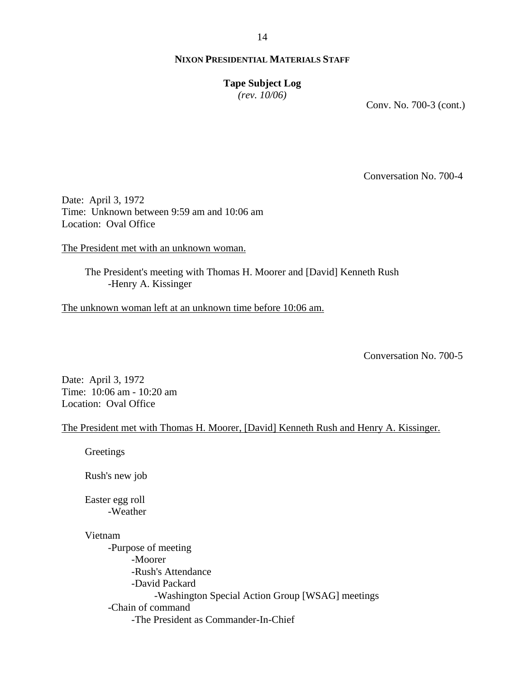#### 14

## **NIXON PRESIDENTIAL MATERIALS STAFF**

### **Tape Subject Log**

*(rev. 10/06)*

Conv. No. 700-3 (cont.)

Conversation No. 700-4

Date: April 3, 1972 Time: Unknown between 9:59 am and 10:06 am Location: Oval Office

The President met with an unknown woman.

The President's meeting with Thomas H. Moorer and [David] Kenneth Rush -Henry A. Kissinger

The unknown woman left at an unknown time before 10:06 am.

Conversation No. 700-5

Date: April 3, 1972 Time: 10:06 am - 10:20 am Location: Oval Office

#### The President met with Thomas H. Moorer, [David] Kenneth Rush and Henry A. Kissinger.

Greetings

Rush's new job

Easter egg roll -Weather

#### Vietnam

-Purpose of meeting -Moorer -Rush's Attendance -David Packard -Washington Special Action Group [WSAG] meetings -Chain of command -The President as Commander-In-Chief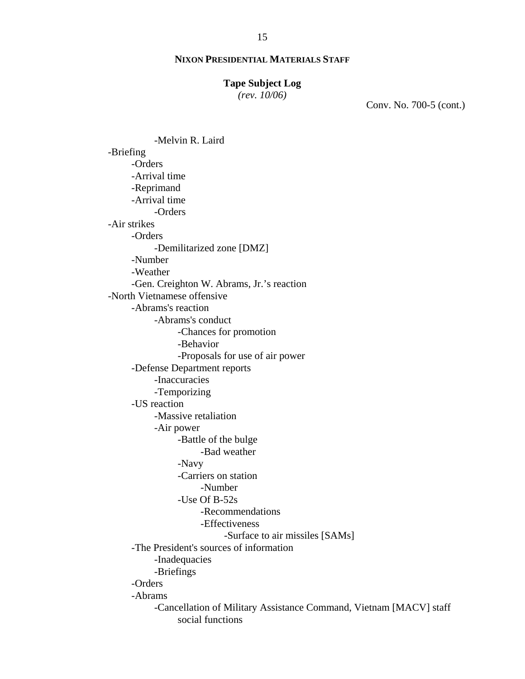#### **Tape Subject Log**

*(rev. 10/06)*

Conv. No. 700-5 (cont.)

 -Melvin R. Laird -Briefing -Orders -Arrival time -Reprimand -Arrival time -Orders -Air strikes -Orders -Demilitarized zone [DMZ] -Number -Weather -Gen. Creighton W. Abrams, Jr.'s reaction -North Vietnamese offensive -Abrams's reaction -Abrams's conduct -Chances for promotion -Behavior -Proposals for use of air power -Defense Department reports -Inaccuracies -Temporizing -US reaction -Massive retaliation -Air power -Battle of the bulge -Bad weather -Navy -Carriers on station -Number -Use Of B-52s -Recommendations -Effectiveness -Surface to air missiles [SAMs] -The President's sources of information -Inadequacies -Briefings -Orders -Abrams -Cancellation of Military Assistance Command, Vietnam [MACV] staff social functions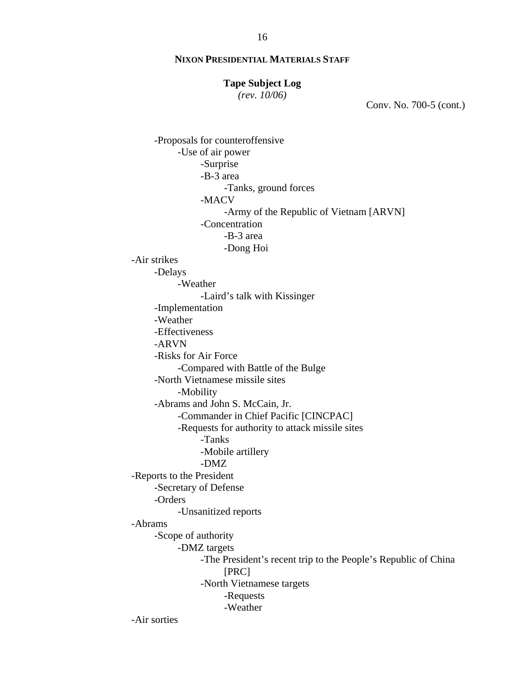#### **Tape Subject Log**

*(rev. 10/06)*

Conv. No. 700-5 (cont.)

```
 -Proposals for counteroffensive 
           -Use of air power 
                 -Surprise 
                 -B-3 area 
                       -Tanks, ground forces 
                 -MACV 
                       -Army of the Republic of Vietnam [ARVN] 
                 -Concentration 
                       -B-3 area 
                       -Dong Hoi 
-Air strikes 
     -Delays 
           -Weather 
                 -Laird's talk with Kissinger 
     -Implementation 
     -Weather 
     -Effectiveness 
     -ARVN 
     -Risks for Air Force 
           -Compared with Battle of the Bulge 
     -North Vietnamese missile sites 
           -Mobility 
     -Abrams and John S. McCain, Jr. 
           -Commander in Chief Pacific [CINCPAC] 
           -Requests for authority to attack missile sites 
                 -Tanks 
                 -Mobile artillery 
                 -DMZ 
-Reports to the President 
     -Secretary of Defense 
     -Orders 
           -Unsanitized reports 
-Abrams 
     -Scope of authority 
           -DMZ targets 
                 -The President's recent trip to the People's Republic of China 
                      [PRC] 
                 -North Vietnamese targets 
                       -Requests 
                       -Weather 
-Air sorties
```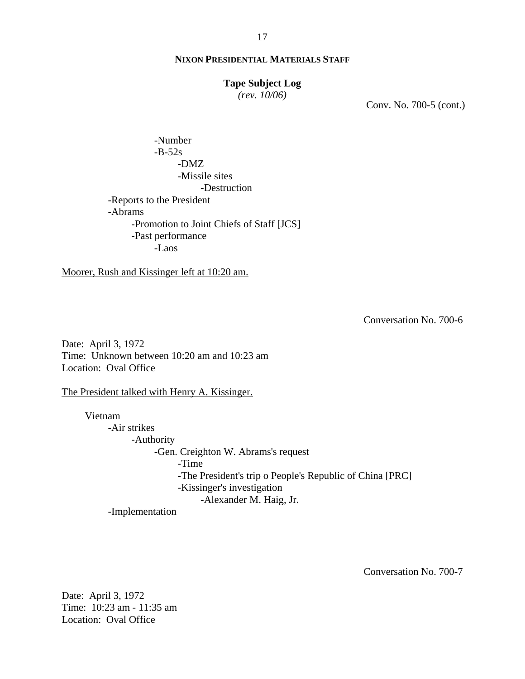### **Tape Subject Log**

*(rev. 10/06)*

Conv. No. 700-5 (cont.)

 -Number  $-B-52s$  -DMZ -Missile sites -Destruction -Reports to the President -Abrams -Promotion to Joint Chiefs of Staff [JCS] -Past performance -Laos

Moorer, Rush and Kissinger left at 10:20 am.

Conversation No. 700-6

Date: April 3, 1972 Time: Unknown between 10:20 am and 10:23 am Location: Oval Office

The President talked with Henry A. Kissinger.

Vietnam -Air strikes -Authority -Gen. Creighton W. Abrams's request -Time -The President's trip o People's Republic of China [PRC] -Kissinger's investigation -Alexander M. Haig, Jr.

-Implementation

Conversation No. 700-7

Date: April 3, 1972 Time: 10:23 am - 11:35 am Location: Oval Office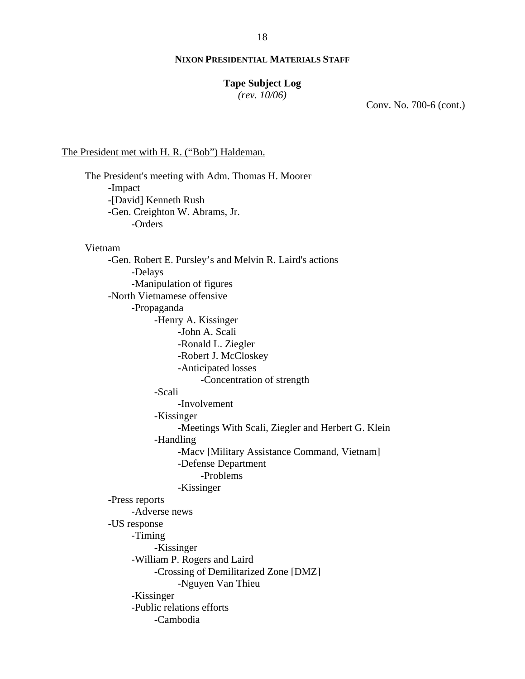### **Tape Subject Log**

*(rev. 10/06)*

Conv. No. 700-6 (cont.)

#### The President met with H. R. ("Bob") Haldeman.

The President's meeting with Adm. Thomas H. Moorer -Impact -[David] Kenneth Rush -Gen. Creighton W. Abrams, Jr. -Orders Vietnam -Gen. Robert E. Pursley's and Melvin R. Laird's actions -Delays -Manipulation of figures -North Vietnamese offensive -Propaganda -Henry A. Kissinger -John A. Scali -Ronald L. Ziegler -Robert J. McCloskey -Anticipated losses -Concentration of strength -Scali -Involvement -Kissinger -Meetings With Scali, Ziegler and Herbert G. Klein -Handling -Macv [Military Assistance Command, Vietnam] -Defense Department -Problems -Kissinger -Press reports -Adverse news -US response -Timing -Kissinger -William P. Rogers and Laird -Crossing of Demilitarized Zone [DMZ] -Nguyen Van Thieu -Kissinger -Public relations efforts -Cambodia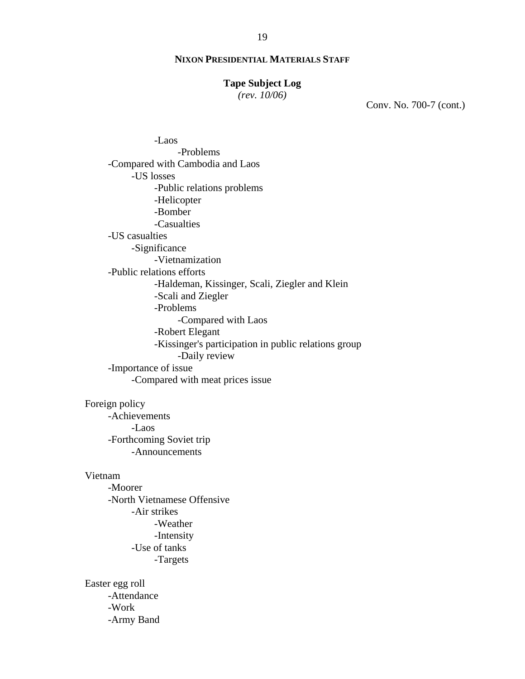#### **Tape Subject Log**

*(rev. 10/06)*

Conv. No. 700-7 (cont.)

 -Laos -Problems -Compared with Cambodia and Laos -US losses -Public relations problems -Helicopter -Bomber -Casualties -US casualties -Significance -Vietnamization -Public relations efforts -Haldeman, Kissinger, Scali, Ziegler and Klein -Scali and Ziegler -Problems -Compared with Laos -Robert Elegant -Kissinger's participation in public relations group -Daily review -Importance of issue -Compared with meat prices issue

Foreign policy

-Achievements -Laos -Forthcoming Soviet trip -Announcements

#### Vietnam

-Moorer -North Vietnamese Offensive -Air strikes -Weather -Intensity -Use of tanks -Targets

Easter egg roll -Attendance -Work -Army Band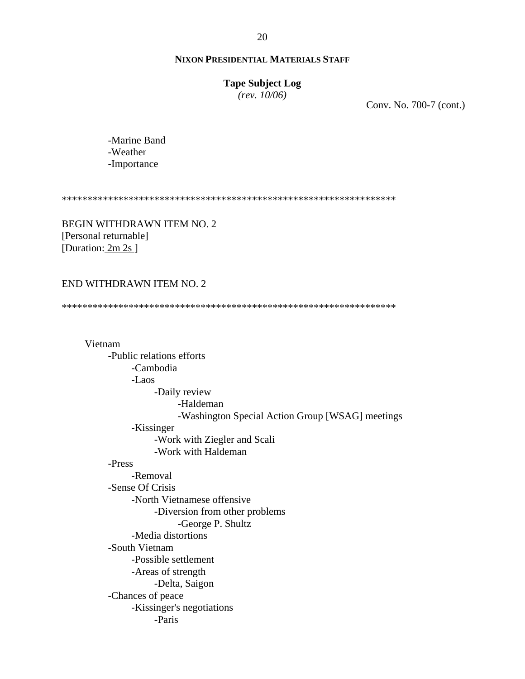### **Tape Subject Log**

*(rev. 10/06)*

Conv. No. 700-7 (cont.)

-Marine Band -Weather -Importance

\*\*\*\*\*\*\*\*\*\*\*\*\*\*\*\*\*\*\*\*\*\*\*\*\*\*\*\*\*\*\*\*\*\*\*\*\*\*\*\*\*\*\*\*\*\*\*\*\*\*\*\*\*\*\*\*\*\*\*\*\*\*\*\*\*

BEGIN WITHDRAWN ITEM NO. 2 [Personal returnable] [Duration: 2m 2s]

### END WITHDRAWN ITEM NO. 2

\*\*\*\*\*\*\*\*\*\*\*\*\*\*\*\*\*\*\*\*\*\*\*\*\*\*\*\*\*\*\*\*\*\*\*\*\*\*\*\*\*\*\*\*\*\*\*\*\*\*\*\*\*\*\*\*\*\*\*\*\*\*\*\*\*

Vietnam -Public relations efforts -Cambodia -Laos -Daily review -Haldeman -Washington Special Action Group [WSAG] meetings -Kissinger -Work with Ziegler and Scali -Work with Haldeman -Press -Removal -Sense Of Crisis -North Vietnamese offensive -Diversion from other problems -George P. Shultz -Media distortions -South Vietnam -Possible settlement -Areas of strength -Delta, Saigon -Chances of peace -Kissinger's negotiations -Paris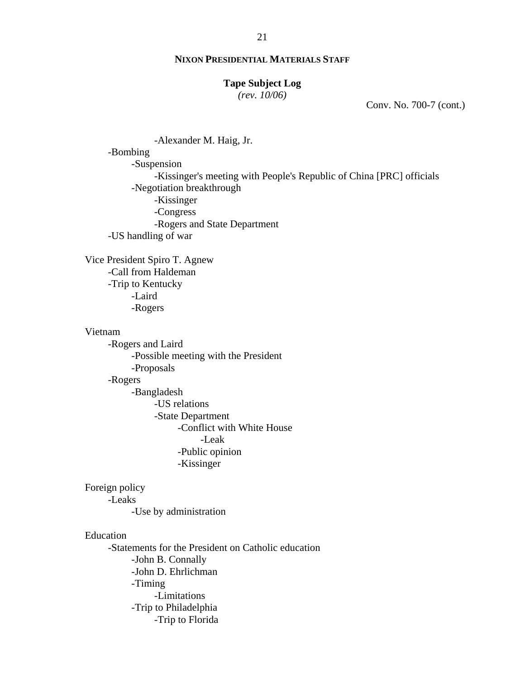### **Tape Subject Log**

*(rev. 10/06)*

Conv. No. 700-7 (cont.)

 -Alexander M. Haig, Jr. -Bombing -Suspension -Kissinger's meeting with People's Republic of China [PRC] officials -Negotiation breakthrough -Kissinger -Congress -Rogers and State Department -US handling of war

Vice President Spiro T. Agnew -Call from Haldeman -Trip to Kentucky -Laird -Rogers

### Vietnam

-Rogers and Laird -Possible meeting with the President -Proposals -Rogers -Bangladesh -US relations -State Department -Conflict with White House -Leak -Public opinion -Kissinger

### Foreign policy

-Leaks

-Use by administration

### Education

-Statements for the President on Catholic education -John B. Connally -John D. Ehrlichman -Timing -Limitations -Trip to Philadelphia -Trip to Florida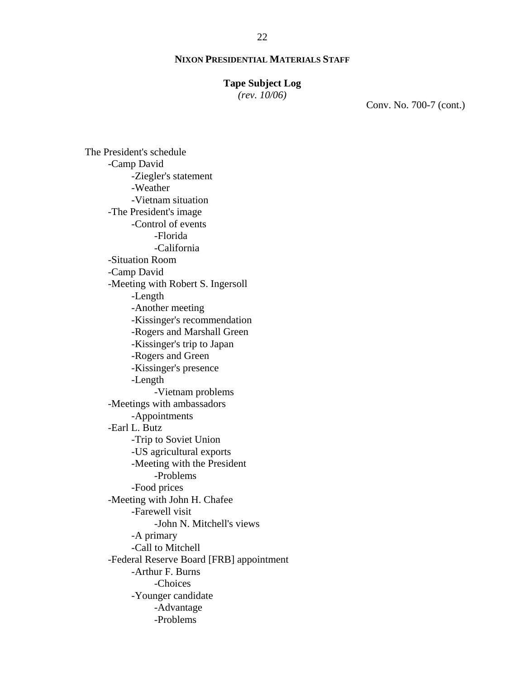#### **Tape Subject Log**

*(rev. 10/06)*

Conv. No. 700-7 (cont.)

The President's schedule -Camp David -Ziegler's statement -Weather -Vietnam situation -The President's image -Control of events -Florida -California -Situation Room -Camp David -Meeting with Robert S. Ingersoll -Length -Another meeting -Kissinger's recommendation -Rogers and Marshall Green -Kissinger's trip to Japan -Rogers and Green -Kissinger's presence -Length -Vietnam problems -Meetings with ambassadors -Appointments -Earl L. Butz -Trip to Soviet Union -US agricultural exports -Meeting with the President -Problems -Food prices -Meeting with John H. Chafee -Farewell visit -John N. Mitchell's views -A primary -Call to Mitchell -Federal Reserve Board [FRB] appointment -Arthur F. Burns -Choices -Younger candidate -Advantage -Problems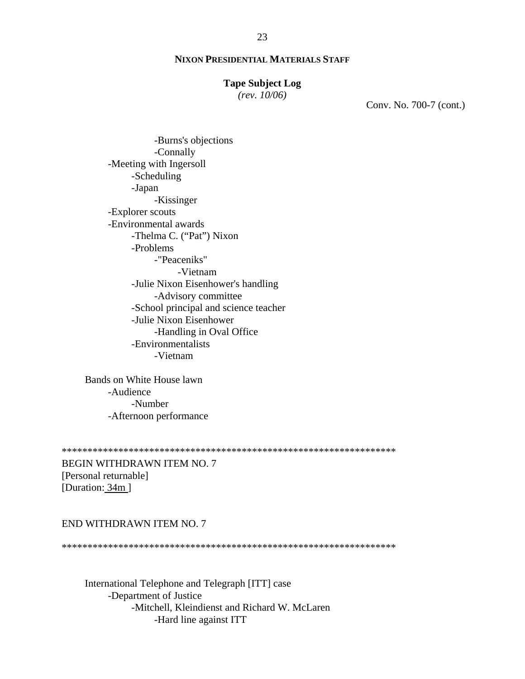#### **Tape Subject Log**

 $(rev. 10/06)$ 

Conv. No. 700-7 (cont.)

-Burns's objections -Connally -Meeting with Ingersoll -Scheduling -Japan -Kissinger -Explorer scouts -Environmental awards -Thelma C. ("Pat") Nixon -Problems -"Peaceniks" -Vietnam -Julie Nixon Eisenhower's handling -Advisory committee -School principal and science teacher -Julie Nixon Eisenhower -Handling in Oval Office -Environmentalists -Vietnam

Bands on White House lawn -Audience -Number -Afternoon performance

BEGIN WITHDRAWN ITEM NO. 7 [Personal returnable] [Duration: 34m]

## END WITHDRAWN ITEM NO. 7

International Telephone and Telegraph [ITT] case -Department of Justice -Mitchell, Kleindienst and Richard W. McLaren -Hard line against ITT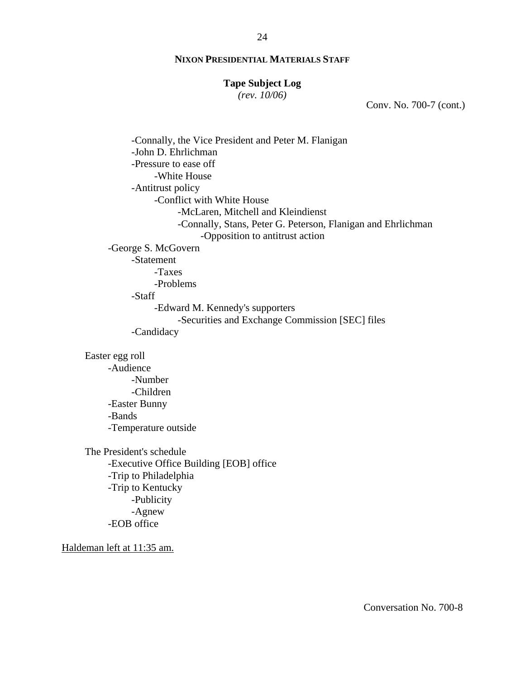#### **Tape Subject Log**

*(rev. 10/06)*

Conv. No. 700-7 (cont.)

 -Connally, the Vice President and Peter M. Flanigan -John D. Ehrlichman -Pressure to ease off -White House -Antitrust policy -Conflict with White House -McLaren, Mitchell and Kleindienst -Connally, Stans, Peter G. Peterson, Flanigan and Ehrlichman -Opposition to antitrust action -George S. McGovern -Statement -Taxes -Problems -Staff -Edward M. Kennedy's supporters -Securities and Exchange Commission [SEC] files -Candidacy Easter egg roll -Audience -Number -Children -Easter Bunny -Bands -Temperature outside The President's schedule -Executive Office Building [EOB] office -Trip to Philadelphia -Trip to Kentucky -Publicity -Agnew -EOB office Haldeman left at 11:35 am.

Conversation No. 700-8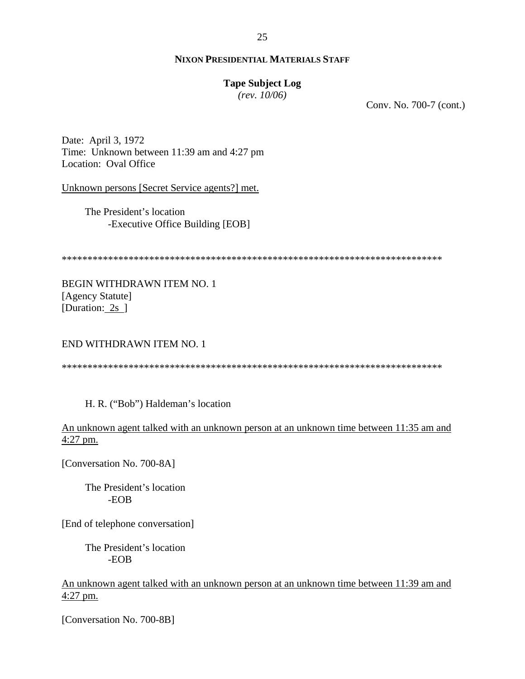### **Tape Subject Log**

*(rev. 10/06)*

Conv. No. 700-7 (cont.)

Date: April 3, 1972 Time: Unknown between 11:39 am and 4:27 pm Location: Oval Office

Unknown persons [Secret Service agents?] met.

The President's location -Executive Office Building [EOB]

\*\*\*\*\*\*\*\*\*\*\*\*\*\*\*\*\*\*\*\*\*\*\*\*\*\*\*\*\*\*\*\*\*\*\*\*\*\*\*\*\*\*\*\*\*\*\*\*\*\*\*\*\*\*\*\*\*\*\*\*\*\*\*\*\*\*\*\*\*\*\*\*\*\*

BEGIN WITHDRAWN ITEM NO. 1 [Agency Statute] [Duration: 2s ]

END WITHDRAWN ITEM NO. 1

\*\*\*\*\*\*\*\*\*\*\*\*\*\*\*\*\*\*\*\*\*\*\*\*\*\*\*\*\*\*\*\*\*\*\*\*\*\*\*\*\*\*\*\*\*\*\*\*\*\*\*\*\*\*\*\*\*\*\*\*\*\*\*\*\*\*\*\*\*\*\*\*\*\*

H. R. ("Bob") Haldeman's location

An unknown agent talked with an unknown person at an unknown time between 11:35 am and 4:27 pm.

[Conversation No. 700-8A]

 The President's location -EOB

[End of telephone conversation]

 The President's location -EOB

An unknown agent talked with an unknown person at an unknown time between 11:39 am and 4:27 pm.

[Conversation No. 700-8B]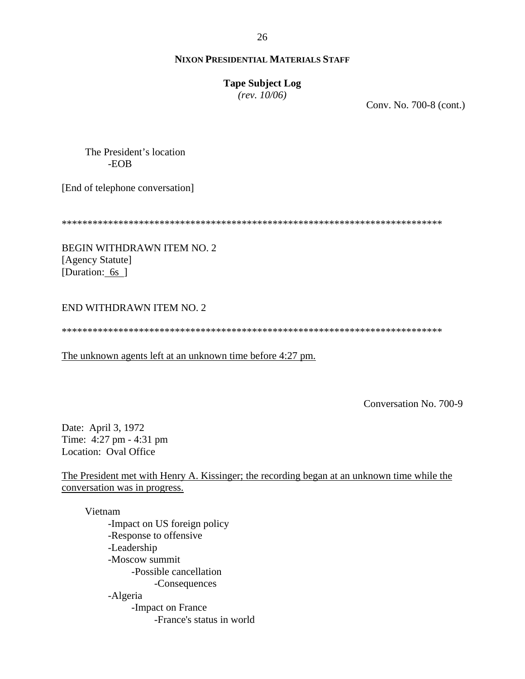# **Tape Subject Log**

 $(rev. 10/06)$ 

Conv. No. 700-8 (cont.)

The President's location  $-EOB$ 

[End of telephone conversation]

BEGIN WITHDRAWN ITEM NO. 2 [Agency Statute] [Duration: 6s ]

# END WITHDRAWN ITEM NO. 2

The unknown agents left at an unknown time before 4:27 pm.

Conversation No. 700-9

Date: April 3, 1972 Time: 4:27 pm - 4:31 pm Location: Oval Office

The President met with Henry A. Kissinger; the recording began at an unknown time while the conversation was in progress.

Vietnam -Impact on US foreign policy -Response to offensive -Leadership -Moscow summit -Possible cancellation -Consequences -Algeria -Impact on France -France's status in world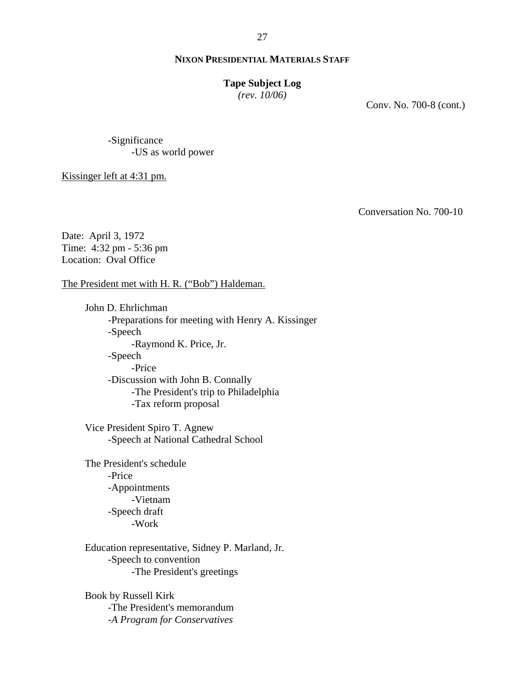#### **Tape Subject Log**

*(rev. 10/06)*

Conv. No. 700-8 (cont.)

-Significance -US as world power

Kissinger left at 4:31 pm.

Conversation No. 700-10

Date: April 3, 1972 Time: 4:32 pm - 5:36 pm Location: Oval Office

The President met with H. R. ("Bob") Haldeman.

John D. Ehrlichman -Preparations for meeting with Henry A. Kissinger -Speech -Raymond K. Price, Jr. -Speech -Price -Discussion with John B. Connally -The President's trip to Philadelphia -Tax reform proposal

Vice President Spiro T. Agnew -Speech at National Cathedral School

The President's schedule -Price -Appointments -Vietnam -Speech draft -Work

Education representative, Sidney P. Marland, Jr. -Speech to convention -The President's greetings

Book by Russell Kirk -The President's memorandum -*A Program for Conservatives*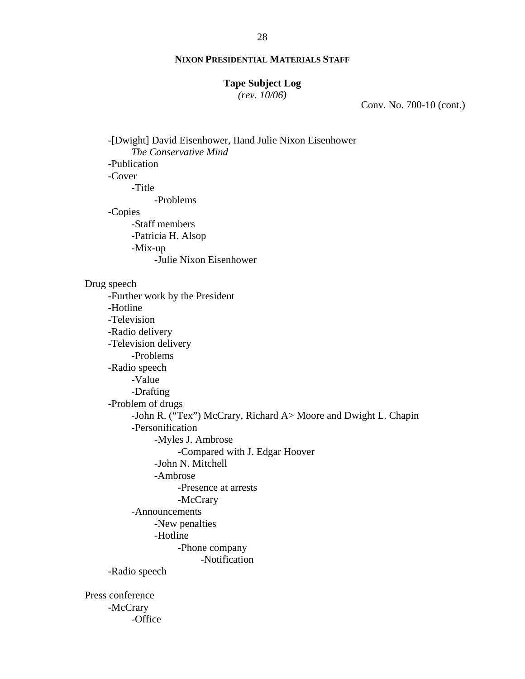#### **Tape Subject Log**

*(rev. 10/06)*

Conv. No. 700-10 (cont.)

-[Dwight] David Eisenhower, IIand Julie Nixon Eisenhower *The Conservative Mind*  -Publication -Cover -Title -Problems -Copies -Staff members -Patricia H. Alsop -Mix-up -Julie Nixon Eisenhower Drug speech -Further work by the President -Hotline -Television -Radio delivery -Television delivery -Problems -Radio speech -Value -Drafting -Problem of drugs -John R. ("Tex") McCrary, Richard A> Moore and Dwight L. Chapin -Personification -Myles J. Ambrose -Compared with J. Edgar Hoover -John N. Mitchell -Ambrose -Presence at arrests -McCrary -Announcements -New penalties -Hotline -Phone company -Notification -Radio speech Press conference -McCrary -Office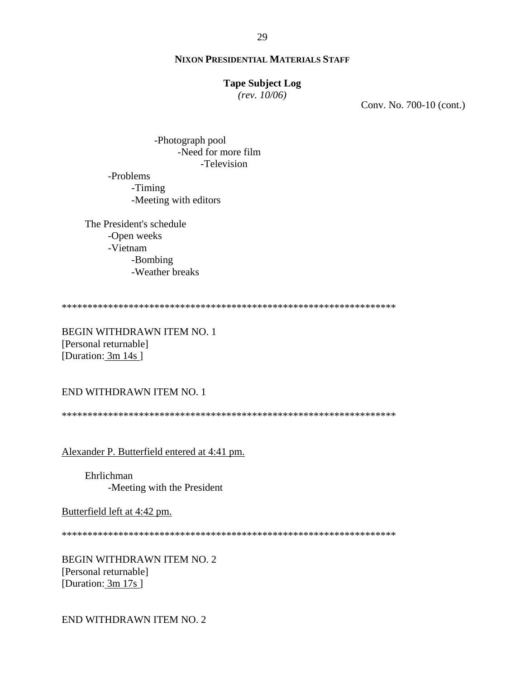#### **Tape Subject Log**

 $(rev. 10/06)$ 

Conv. No. 700-10 (cont.)

-Photograph pool -Need for more film -Television

-Problems -Timing -Meeting with editors

The President's schedule -Open weeks -Vietnam -Bombing -Weather breaks

**BEGIN WITHDRAWN ITEM NO. 1** [Personal returnable] [Duration: 3m 14s]

END WITHDRAWN ITEM NO. 1

Alexander P. Butterfield entered at 4:41 pm.

Ehrlichman -Meeting with the President

Butterfield left at 4:42 pm.

BEGIN WITHDRAWN ITEM NO. 2 [Personal returnable] [Duration: 3m 17s]

END WITHDRAWN ITEM NO. 2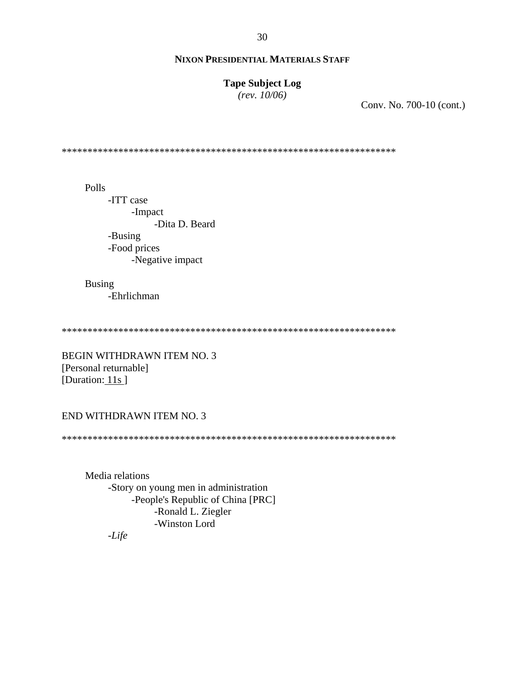# **Tape Subject Log**

 $(rev. 10/06)$ 

Conv. No. 700-10 (cont.)

Polls -ITT case -Impact -Dita D. Beard -Busing -Food prices -Negative impact

**Busing** -Ehrlichman

**BEGIN WITHDRAWN ITEM NO. 3** [Personal returnable] [Duration:  $11s$ ]

# END WITHDRAWN ITEM NO. 3

Media relations -Story on young men in administration -People's Republic of China [PRC] -Ronald L. Ziegler -Winston Lord

 $-Life$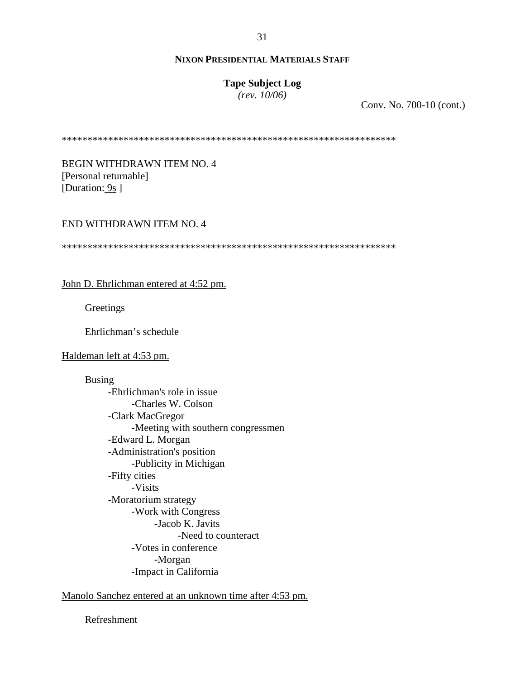# **Tape Subject Log**

*(rev. 10/06)*

Conv. No. 700-10 (cont.)

\*\*\*\*\*\*\*\*\*\*\*\*\*\*\*\*\*\*\*\*\*\*\*\*\*\*\*\*\*\*\*\*\*\*\*\*\*\*\*\*\*\*\*\*\*\*\*\*\*\*\*\*\*\*\*\*\*\*\*\*\*\*\*\*\*

BEGIN WITHDRAWN ITEM NO. 4 [Personal returnable] [Duration: 9s ]

#### END WITHDRAWN ITEM NO. 4

\*\*\*\*\*\*\*\*\*\*\*\*\*\*\*\*\*\*\*\*\*\*\*\*\*\*\*\*\*\*\*\*\*\*\*\*\*\*\*\*\*\*\*\*\*\*\*\*\*\*\*\*\*\*\*\*\*\*\*\*\*\*\*\*\*

John D. Ehrlichman entered at 4:52 pm.

**Greetings** 

Ehrlichman's schedule

#### Haldeman left at 4:53 pm.

Busing -Ehrlichman's role in issue -Charles W. Colson -Clark MacGregor -Meeting with southern congressmen -Edward L. Morgan -Administration's position -Publicity in Michigan -Fifty cities -Visits -Moratorium strategy -Work with Congress -Jacob K. Javits -Need to counteract -Votes in conference -Morgan -Impact in California

Manolo Sanchez entered at an unknown time after 4:53 pm.

Refreshment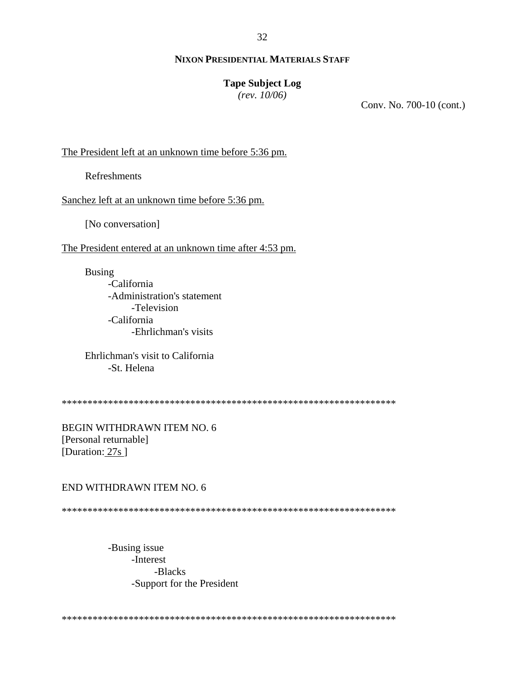### **Tape Subject Log**

 $(rev. 10/06)$ 

Conv. No. 700-10 (cont.)

The President left at an unknown time before 5:36 pm.

**Refreshments** 

Sanchez left at an unknown time before 5:36 pm.

[No conversation]

The President entered at an unknown time after 4:53 pm.

**Busing** -California -Administration's statement -Television -California -Ehrlichman's visits

Ehrlichman's visit to California -St. Helena

**BEGIN WITHDRAWN ITEM NO. 6** [Personal returnable] [Duration:  $27s$ ]

### END WITHDRAWN ITEM NO. 6

-Busing issue -Interest -Blacks -Support for the President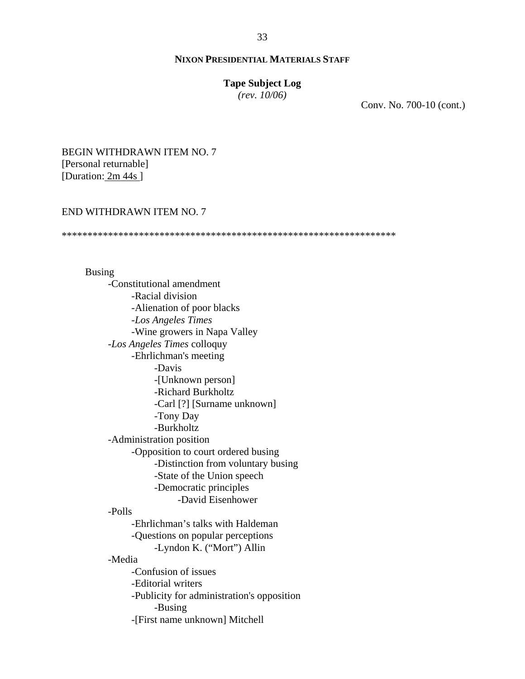#### **Tape Subject Log**

*(rev. 10/06)*

Conv. No. 700-10 (cont.)

# BEGIN WITHDRAWN ITEM NO. 7 [Personal returnable] [Duration: 2m 44s ]

# END WITHDRAWN ITEM NO. 7

\*\*\*\*\*\*\*\*\*\*\*\*\*\*\*\*\*\*\*\*\*\*\*\*\*\*\*\*\*\*\*\*\*\*\*\*\*\*\*\*\*\*\*\*\*\*\*\*\*\*\*\*\*\*\*\*\*\*\*\*\*\*\*\*\*

# Busing -Constitutional amendment -Racial division -Alienation of poor blacks -*Los Angeles Times* -Wine growers in Napa Valley -*Los Angeles Times* colloquy -Ehrlichman's meeting -Davis -[Unknown person] -Richard Burkholtz -Carl [?] [Surname unknown] -Tony Day -Burkholtz -Administration position -Opposition to court ordered busing -Distinction from voluntary busing -State of the Union speech -Democratic principles -David Eisenhower -Polls -Ehrlichman's talks with Haldeman -Questions on popular perceptions -Lyndon K. ("Mort") Allin -Media -Confusion of issues -Editorial writers -Publicity for administration's opposition -Busing -[First name unknown] Mitchell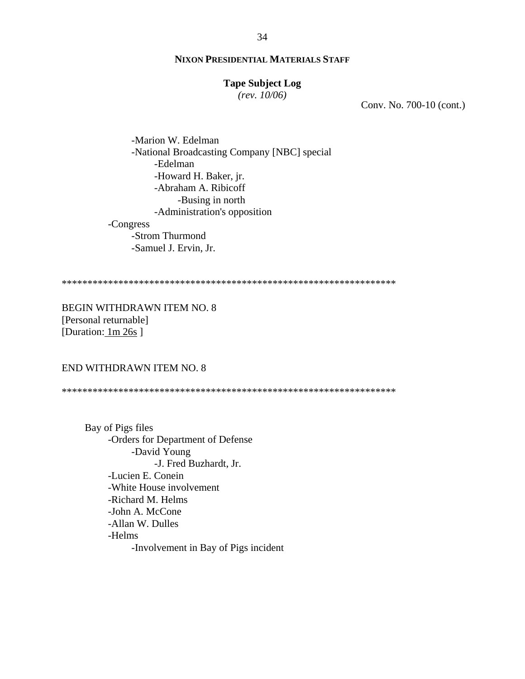### **Tape Subject Log**

*(rev. 10/06)*

Conv. No. 700-10 (cont.)

 -Marion W. Edelman -National Broadcasting Company [NBC] special -Edelman -Howard H. Baker, jr. -Abraham A. Ribicoff -Busing in north -Administration's opposition -Congress -Strom Thurmond -Samuel J. Ervin, Jr.

\*\*\*\*\*\*\*\*\*\*\*\*\*\*\*\*\*\*\*\*\*\*\*\*\*\*\*\*\*\*\*\*\*\*\*\*\*\*\*\*\*\*\*\*\*\*\*\*\*\*\*\*\*\*\*\*\*\*\*\*\*\*\*\*\*

BEGIN WITHDRAWN ITEM NO. 8 [Personal returnable] [Duration: 1m 26s ]

### END WITHDRAWN ITEM NO. 8

\*\*\*\*\*\*\*\*\*\*\*\*\*\*\*\*\*\*\*\*\*\*\*\*\*\*\*\*\*\*\*\*\*\*\*\*\*\*\*\*\*\*\*\*\*\*\*\*\*\*\*\*\*\*\*\*\*\*\*\*\*\*\*\*\*

Bay of Pigs files -Orders for Department of Defense -David Young -J. Fred Buzhardt, Jr. -Lucien E. Conein -White House involvement -Richard M. Helms -John A. McCone -Allan W. Dulles -Helms -Involvement in Bay of Pigs incident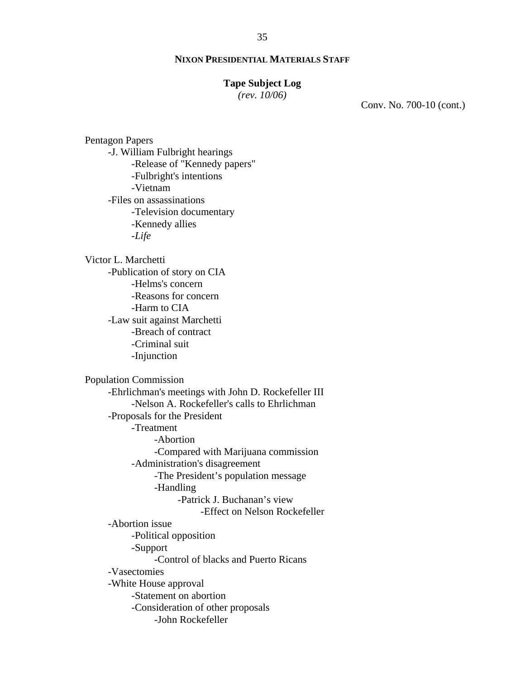### **Tape Subject Log**

*(rev. 10/06)*

Conv. No. 700-10 (cont.)

-J. William Fulbright hearings -Release of "Kennedy papers" -Fulbright's intentions -Vietnam -Files on assassinations -Television documentary -Kennedy allies -*Life* Victor L. Marchetti -Publication of story on CIA -Helms's concern -Reasons for concern -Harm to CIA -Law suit against Marchetti -Breach of contract -Criminal suit -Injunction Population Commission -Ehrlichman's meetings with John D. Rockefeller III -Nelson A. Rockefeller's calls to Ehrlichman -Proposals for the President -Treatment -Abortion -Compared with Marijuana commission -Administration's disagreement -The President's population message -Handling -Patrick J. Buchanan's view -Effect on Nelson Rockefeller -Abortion issue -Political opposition -Support -Control of blacks and Puerto Ricans -Vasectomies -White House approval -Statement on abortion -Consideration of other proposals -John Rockefeller

Pentagon Papers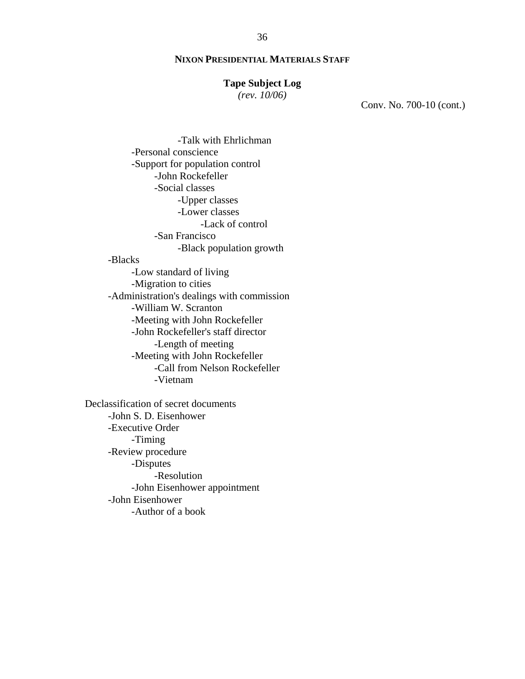#### **Tape Subject Log**

*(rev. 10/06)*

Conv. No. 700-10 (cont.)

 -Talk with Ehrlichman -Personal conscience -Support for population control -John Rockefeller -Social classes -Upper classes -Lower classes -Lack of control -San Francisco -Black population growth -Blacks -Low standard of living -Migration to cities -Administration's dealings with commission -William W. Scranton -Meeting with John Rockefeller -John Rockefeller's staff director -Length of meeting -Meeting with John Rockefeller -Call from Nelson Rockefeller -Vietnam Declassification of secret documents -John S. D. Eisenhower

-Executive Order -Timing -Review procedure -Disputes -Resolution -John Eisenhower appointment -John Eisenhower -Author of a book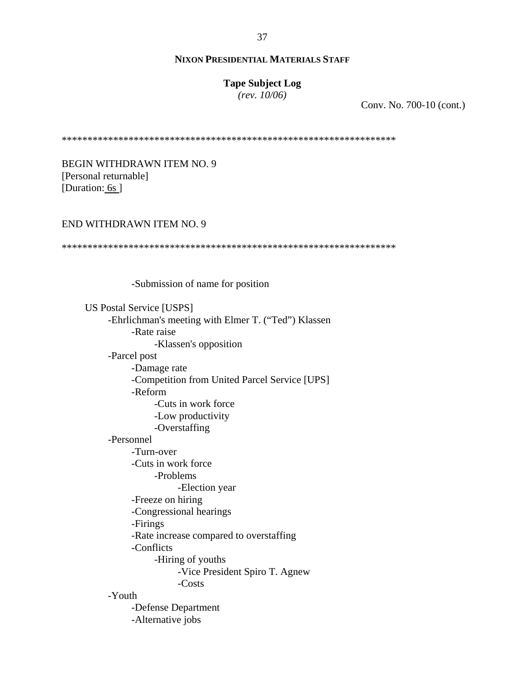# **Tape Subject Log**

*(rev. 10/06)*

Conv. No. 700-10 (cont.)

\*\*\*\*\*\*\*\*\*\*\*\*\*\*\*\*\*\*\*\*\*\*\*\*\*\*\*\*\*\*\*\*\*\*\*\*\*\*\*\*\*\*\*\*\*\*\*\*\*\*\*\*\*\*\*\*\*\*\*\*\*\*\*\*\*

BEGIN WITHDRAWN ITEM NO. 9 [Personal returnable] [Duration: 6s]

#### END WITHDRAWN ITEM NO. 9

\*\*\*\*\*\*\*\*\*\*\*\*\*\*\*\*\*\*\*\*\*\*\*\*\*\*\*\*\*\*\*\*\*\*\*\*\*\*\*\*\*\*\*\*\*\*\*\*\*\*\*\*\*\*\*\*\*\*\*\*\*\*\*\*\*

-Submission of name for position

US Postal Service [USPS] -Ehrlichman's meeting with Elmer T. ("Ted") Klassen -Rate raise -Klassen's opposition -Parcel post -Damage rate -Competition from United Parcel Service [UPS] -Reform -Cuts in work force -Low productivity -Overstaffing -Personnel -Turn-over -Cuts in work force -Problems -Election year -Freeze on hiring -Congressional hearings -Firings -Rate increase compared to overstaffing -Conflicts -Hiring of youths -Vice President Spiro T. Agnew -Costs -Youth -Defense Department -Alternative jobs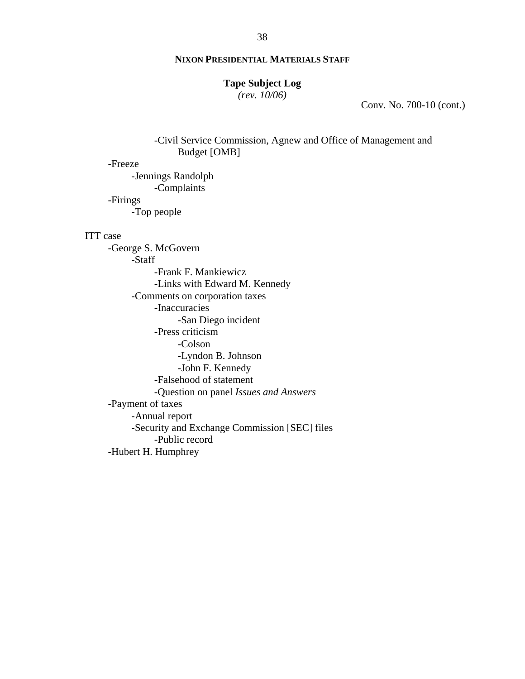# **Tape Subject Log**

*(rev. 10/06)*

Conv. No. 700-10 (cont.)

 -Civil Service Commission, Agnew and Office of Management and Budget [OMB]

-Freeze

 -Jennings Randolph -Complaints -Firings -Top people

#### ITT case

-George S. McGovern -Staff -Frank F. Mankiewicz -Links with Edward M. Kennedy -Comments on corporation taxes -Inaccuracies -San Diego incident -Press criticism -Colson -Lyndon B. Johnson -John F. Kennedy -Falsehood of statement -Question on panel *Issues and Answers* -Payment of taxes -Annual report -Security and Exchange Commission [SEC] files -Public record -Hubert H. Humphrey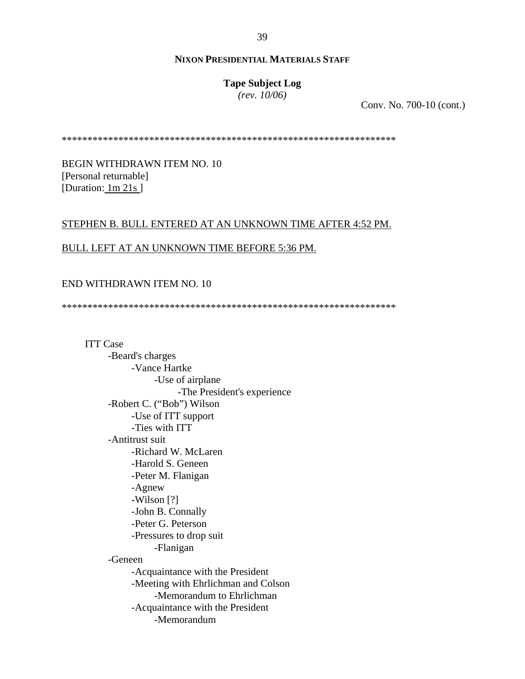# **Tape Subject Log**

*(rev. 10/06)*

Conv. No. 700-10 (cont.)

\*\*\*\*\*\*\*\*\*\*\*\*\*\*\*\*\*\*\*\*\*\*\*\*\*\*\*\*\*\*\*\*\*\*\*\*\*\*\*\*\*\*\*\*\*\*\*\*\*\*\*\*\*\*\*\*\*\*\*\*\*\*\*\*\*

BEGIN WITHDRAWN ITEM NO. 10 [Personal returnable] [Duration: 1m 21s]

### STEPHEN B. BULL ENTERED AT AN UNKNOWN TIME AFTER 4:52 PM.

# BULL LEFT AT AN UNKNOWN TIME BEFORE 5:36 PM.

### END WITHDRAWN ITEM NO. 10

\*\*\*\*\*\*\*\*\*\*\*\*\*\*\*\*\*\*\*\*\*\*\*\*\*\*\*\*\*\*\*\*\*\*\*\*\*\*\*\*\*\*\*\*\*\*\*\*\*\*\*\*\*\*\*\*\*\*\*\*\*\*\*\*\*

ITT Case -Beard's charges -Vance Hartke -Use of airplane -The President's experience -Robert C. ("Bob") Wilson -Use of ITT support -Ties with ITT -Antitrust suit -Richard W. McLaren -Harold S. Geneen -Peter M. Flanigan -Agnew -Wilson [?] -John B. Connally -Peter G. Peterson -Pressures to drop suit -Flanigan -Geneen -Acquaintance with the President -Meeting with Ehrlichman and Colson -Memorandum to Ehrlichman -Acquaintance with the President -Memorandum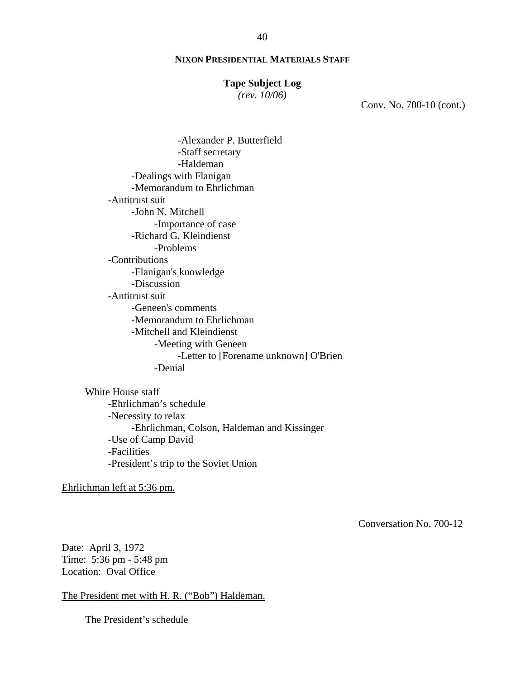#### **Tape Subject Log**

*(rev. 10/06)*

Conv. No. 700-10 (cont.)

 -Alexander P. Butterfield -Staff secretary -Haldeman -Dealings with Flanigan -Memorandum to Ehrlichman -Antitrust suit -John N. Mitchell -Importance of case -Richard G. Kleindienst -Problems -Contributions -Flanigan's knowledge -Discussion -Antitrust suit -Geneen's comments -Memorandum to Ehrlichman -Mitchell and Kleindienst -Meeting with Geneen -Letter to [Forename unknown] O'Brien -Denial

White House staff -Ehrlichman's schedule -Necessity to relax -Ehrlichman, Colson, Haldeman and Kissinger -Use of Camp David -Facilities -President's trip to the Soviet Union

Ehrlichman left at 5:36 pm.

Conversation No. 700-12

Date: April 3, 1972 Time: 5:36 pm - 5:48 pm Location: Oval Office

The President met with H. R. ("Bob") Haldeman.

The President's schedule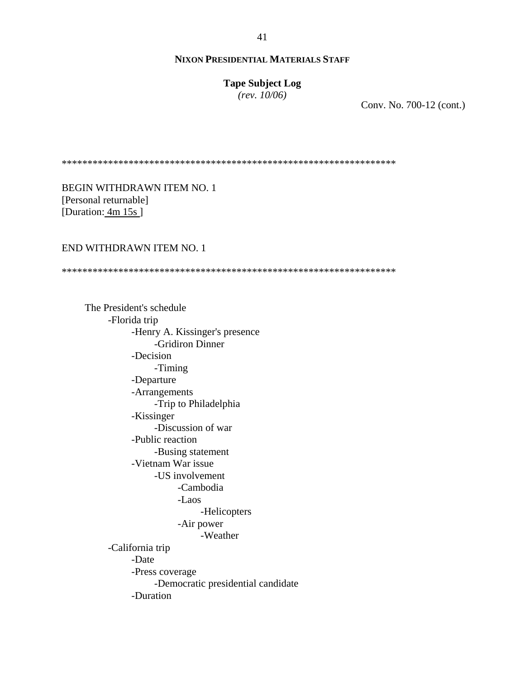**Tape Subject Log**

*(rev. 10/06)*

Conv. No. 700-12 (cont.)

\*\*\*\*\*\*\*\*\*\*\*\*\*\*\*\*\*\*\*\*\*\*\*\*\*\*\*\*\*\*\*\*\*\*\*\*\*\*\*\*\*\*\*\*\*\*\*\*\*\*\*\*\*\*\*\*\*\*\*\*\*\*\*\*\*

BEGIN WITHDRAWN ITEM NO. 1 [Personal returnable] [Duration: 4m 15s]

## END WITHDRAWN ITEM NO. 1

\*\*\*\*\*\*\*\*\*\*\*\*\*\*\*\*\*\*\*\*\*\*\*\*\*\*\*\*\*\*\*\*\*\*\*\*\*\*\*\*\*\*\*\*\*\*\*\*\*\*\*\*\*\*\*\*\*\*\*\*\*\*\*\*\*

The President's schedule -Florida trip -Henry A. Kissinger's presence -Gridiron Dinner -Decision -Timing -Departure -Arrangements -Trip to Philadelphia -Kissinger -Discussion of war -Public reaction -Busing statement -Vietnam War issue -US involvement -Cambodia -Laos -Helicopters -Air power -Weather -California trip -Date -Press coverage -Democratic presidential candidate -Duration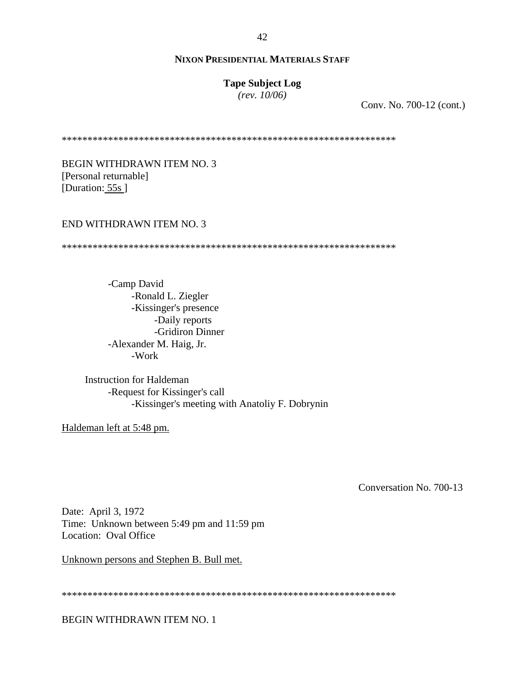### **Tape Subject Log**

*(rev. 10/06)*

Conv. No. 700-12 (cont.)

\*\*\*\*\*\*\*\*\*\*\*\*\*\*\*\*\*\*\*\*\*\*\*\*\*\*\*\*\*\*\*\*\*\*\*\*\*\*\*\*\*\*\*\*\*\*\*\*\*\*\*\*\*\*\*\*\*\*\*\*\*\*\*\*\*

BEGIN WITHDRAWN ITEM NO. 3 [Personal returnable] [Duration: 55s]

#### END WITHDRAWN ITEM NO. 3

\*\*\*\*\*\*\*\*\*\*\*\*\*\*\*\*\*\*\*\*\*\*\*\*\*\*\*\*\*\*\*\*\*\*\*\*\*\*\*\*\*\*\*\*\*\*\*\*\*\*\*\*\*\*\*\*\*\*\*\*\*\*\*\*\*

-Camp David -Ronald L. Ziegler -Kissinger's presence -Daily reports -Gridiron Dinner -Alexander M. Haig, Jr. -Work

Instruction for Haldeman -Request for Kissinger's call -Kissinger's meeting with Anatoliy F. Dobrynin

Haldeman left at 5:48 pm.

Conversation No. 700-13

Date: April 3, 1972 Time: Unknown between 5:49 pm and 11:59 pm Location: Oval Office

Unknown persons and Stephen B. Bull met.

\*\*\*\*\*\*\*\*\*\*\*\*\*\*\*\*\*\*\*\*\*\*\*\*\*\*\*\*\*\*\*\*\*\*\*\*\*\*\*\*\*\*\*\*\*\*\*\*\*\*\*\*\*\*\*\*\*\*\*\*\*\*\*\*\*

BEGIN WITHDRAWN ITEM NO. 1